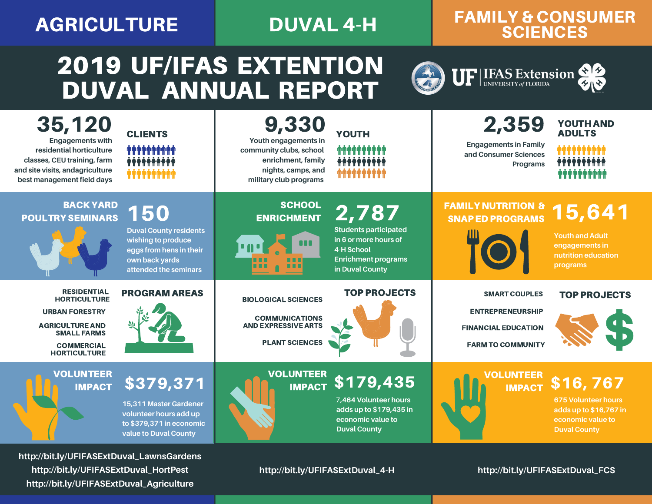### AGRICULTURE DUVAL 4-H

### FAMILY & CONSUMER **SCIENCES**

UF | LFAS Extension 88

# 2019 UF/IFAS EXTENTION DUVAL ANNUAL REPORT

| 35,120<br><b>Engagements with</b><br>residential horticulture<br>classes, CEU training, farm<br>and site visits, andagriculture<br>best management field days  | <b>CLIENTS</b><br><b>ጥጥጥጥጥ</b> ባ<br><b>**********</b>                                                                                   | 9,330<br>Youth engagements in<br>community clubs, school<br>enrichment, family<br>nights, camps, and<br>military club programs | <b>YOUTH</b><br>.<br>                                                                                                                | 2,359<br><b>Engagements in Family</b><br>and Consumer Sciences<br>Programs                                | <b>YOUTH AND</b><br><b>ADULTS</b>                                                                            |
|----------------------------------------------------------------------------------------------------------------------------------------------------------------|-----------------------------------------------------------------------------------------------------------------------------------------|--------------------------------------------------------------------------------------------------------------------------------|--------------------------------------------------------------------------------------------------------------------------------------|-----------------------------------------------------------------------------------------------------------|--------------------------------------------------------------------------------------------------------------|
| <b>BACK YARD</b><br><b>POULTRY SEMINARS</b>                                                                                                                    | <b>150</b><br><b>Duval County residents</b><br>wishing to produce<br>eggs from hens in their<br>own back yards<br>attended the seminars | <b>SCHOOL</b><br><b>ENRICHMENT</b>                                                                                             | 2,787<br><b>Students participated</b><br>in 6 or more hours of<br><b>4-H School</b><br><b>Enrichment programs</b><br>in Duval County | <b>FAMILY NUTRITION &amp;</b><br><b>SNAP ED PROGRAMS</b>                                                  | 15,641<br><b>Youth and Adult</b><br>engagements in<br>nutrition education<br>programs                        |
| <b>RESIDENTIAL</b><br><b>HORTICULTURE</b><br><b>URBAN FORESTRY</b><br><b>AGRICULTURE AND</b><br><b>SMALL FARMS</b><br><b>COMMERCIAL</b><br><b>HORTICULTURE</b> | <b>PROGRAM AREAS</b>                                                                                                                    | <b>BIOLOGICAL SCIENCES</b><br><b>COMMUNICATIONS</b><br><b>AND EXPRESSIVE ARTS</b><br><b>PLANT SCIENCES</b>                     | <b>TOP PROJECTS</b>                                                                                                                  | <b>SMART COUPLES</b><br><b>ENTREPRENEURSHIP</b><br><b>FINANCIAL EDUCATION</b><br><b>FARM TO COMMUNITY</b> | <b>TOP PROJECTS</b>                                                                                          |
| <b>VOLUNTEER</b><br><b>IMPACT</b>                                                                                                                              | \$379,371<br>15,311 Master Gardener<br>volunteer hours add up<br>to \$379,371 in economic<br>value to Duval County                      | <b>VOLUNTEER</b><br><b>IMPACT</b>                                                                                              | $\sqrt{179,435}$<br>7,464 Volunteer hours<br>adds up to \$179,435 in<br>economic value to<br><b>Duval County</b>                     | <b>OLUNTEER</b><br><b>IMPACT</b>                                                                          | \$16,767<br><b>675 Volunteer hours</b><br>adds up to \$16,767 in<br>economic value to<br><b>Duval County</b> |

**http://bit.ly/UFIFASExtDuval\_LawnsGardens http://bit.ly/UFIFASExtDuval\_HortPest http://bit.ly/UFIFASExtDuval\_Agriculture**

**http://bit.ly/UFIFASExtDuval\_4-H**

**http://bit.ly/UFIFASExtDuval\_FCS**